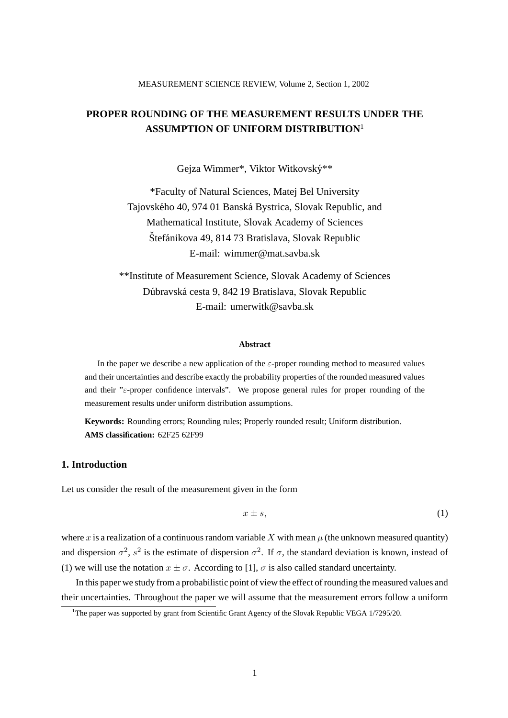# **PROPER ROUNDING OF THE MEASUREMENT RESULTS UNDER THE ASSUMPTION OF UNIFORM DISTRIBUTION**<sup>1</sup>

Gejza Wimmer\*, Viktor Witkovsky\*\* ´

\*Faculty of Natural Sciences, Matej Bel University Tajovského 40, 974 01 Banská Bystrica, Slovak Republic, and Mathematical Institute, Slovak Academy of Sciences Štefánikova 49, 814 73 Bratislava, Slovak Republic E-mail: wimmer@mat.savba.sk

\*\*Institute of Measurement Science, Slovak Academy of Sciences Dúbravská cesta 9, 842 19 Bratislava, Slovak Republic E-mail: umerwitk@savba.sk

#### **Abstract**

In the paper we describe a new application of the  $\varepsilon$ -proper rounding method to measured values and their uncertainties and describe exactly the probability properties of the rounded measured values and their " $\varepsilon$ -proper confidence intervals". We propose general rules for proper rounding of the measurement results under uniform distribution assumptions.

**Keywords:** Rounding errors; Rounding rules; Properly rounded result; Uniform distribution. **AMS classification:** 62F25 62F99

## **1. Introduction**

Let us consider the result of the measurement given in the form

$$
x \pm s,\tag{1}
$$

where x is a realization of a continuous random variable X with mean  $\mu$  (the unknown measured quantity) and dispersion  $\sigma^2$ ,  $s^2$  is the estimate of dispersion  $\sigma^2$ . If  $\sigma$ , the standard deviation is known, instead of (1) we will use the notation  $x \pm \sigma$ . According to [1],  $\sigma$  is also called standard uncertainty.

In this paper we study from a probabilistic point of view the effect of rounding the measured values and their uncertainties. Throughout the paper we will assume that the measurement errors follow a uniform

<sup>&</sup>lt;sup>1</sup>The paper was supported by grant from Scientific Grant Agency of the Slovak Republic VEGA 1/7295/20.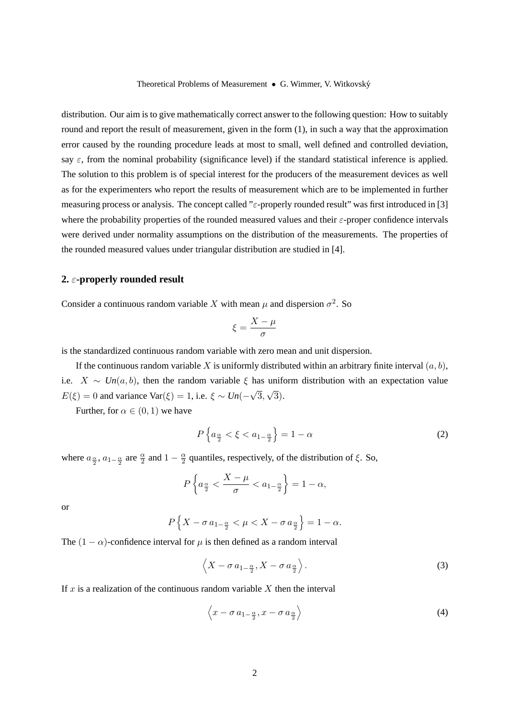distribution. Our aim is to give mathematically correct answer to the following question: How to suitably round and report the result of measurement, given in the form  $(1)$ , in such a way that the approximation error caused by the rounding procedure leads at most to small, well defined and controlled deviation, say  $\varepsilon$ , from the nominal probability (significance level) if the standard statistical inference is applied. The solution to this problem is of special interest for the producers of the measurement devices as well as for the experimenters who report the results of measurement which are to be implemented in further measuring process or analysis. The concept called " $\varepsilon$ -properly rounded result" was first introduced in [3] where the probability properties of the rounded measured values and their  $\varepsilon$ -proper confidence intervals were derived under normality assumptions on the distribution of the measurements. The properties of the rounded measured values under triangular distribution are studied in [4].

#### **2.** ε**-properly rounded result**

Consider a continuous random variable X with mean  $\mu$  and dispersion  $\sigma^2$ . So

$$
\xi = \frac{X - \mu}{\sigma}
$$

is the standardized continuous random variable with zero mean and unit dispersion.

If the continuous random variable X is uniformly distributed within an arbitrary finite interval  $(a, b)$ , i.e.  $X \sim Un(a, b)$ , then the random variable  $\xi$  has uniform distribution with an expectation value  $E(\xi) = 0$  and variance Var( $\xi$ ) = 1, i.e.  $\xi \sim Un(-\sqrt{3}, \sqrt{3})$ .

Further, for  $\alpha \in (0,1)$  we have

$$
P\left\{a_{\frac{\alpha}{2}} < \xi < a_{1-\frac{\alpha}{2}}\right\} = 1 - \alpha\tag{2}
$$

where  $a_{\frac{\alpha}{2}}$ ,  $a_{1-\frac{\alpha}{2}}$  are  $\frac{\alpha}{2}$  and  $1-\frac{\alpha}{2}$  $\frac{\alpha}{2}$  quantiles, respectively, of the distribution of  $\xi$ . So,

$$
P\left\{a_{\frac{\alpha}{2}} < \frac{X-\mu}{\sigma} < a_{1-\frac{\alpha}{2}}\right\} = 1 - \alpha,
$$

or

$$
P\left\{X-\sigma\,a_{1-\frac{\alpha}{2}} < \mu < X-\sigma\,a_{\frac{\alpha}{2}}\right\} = 1-\alpha.
$$

The  $(1 - \alpha)$ -confidence interval for  $\mu$  is then defined as a random interval

$$
\left\langle X - \sigma a_{1-\frac{\alpha}{2}}, X - \sigma a_{\frac{\alpha}{2}} \right\rangle.
$$
 (3)

If  $x$  is a realization of the continuous random variable  $X$  then the interval

$$
\left\langle x - \sigma a_{1-\frac{\alpha}{2}}, x - \sigma a_{\frac{\alpha}{2}} \right\rangle \tag{4}
$$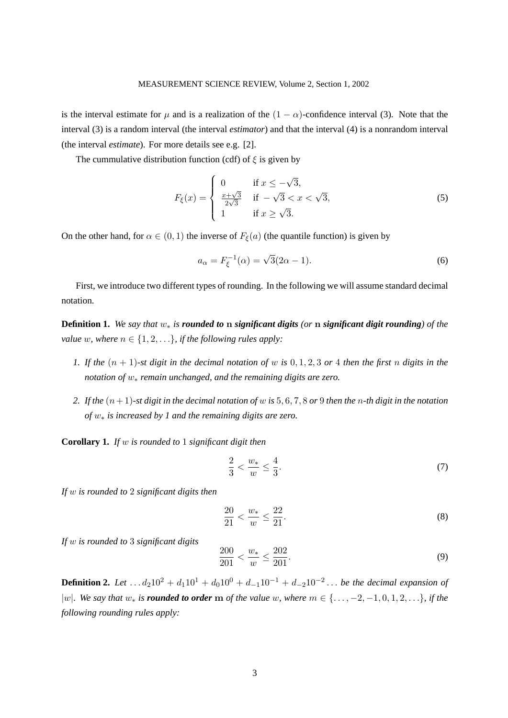is the interval estimate for  $\mu$  and is a realization of the  $(1 - \alpha)$ -confidence interval (3). Note that the interval (3) is a random interval (the interval *estimator*) and that the interval (4) is a nonrandom interval (the interval *estimate*). For more details see e.g. [2].

The cummulative distribution function (cdf) of  $\xi$  is given by

$$
F_{\xi}(x) = \begin{cases} 0 & \text{if } x \le -\sqrt{3}, \\ \frac{x+\sqrt{3}}{2\sqrt{3}} & \text{if } -\sqrt{3} < x < \sqrt{3}, \\ 1 & \text{if } x \ge \sqrt{3}. \end{cases}
$$
(5)

On the other hand, for  $\alpha \in (0,1)$  the inverse of  $F_{\xi}(a)$  (the quantile function) is given by

$$
a_{\alpha} = F_{\xi}^{-1}(\alpha) = \sqrt{3}(2\alpha - 1).
$$
 (6)

First, we introduce two different types of rounding. In the following we will assume standard decimal notation.

**Definition 1.** *We say that* w∗ *is rounded to* n *significant digits (or* n *significant digit rounding) of the value* w, where  $n \in \{1, 2, \ldots\}$ , if the following rules apply:

- *1. If the*  $(n + 1)$ -st digit in the decimal notation of w is  $0, 1, 2, 3$  or 4 then the first n digits in the *notation of* w∗ *remain unchanged, and the remaining digits are zero.*
- 2. If the  $(n+1)$ -st digit in the decimal notation of w is 5, 6, 7, 8 or 9 then the *n*-th digit in the notation *of* w∗ *is increased by 1 and the remaining digits are zero.*

**Corollary 1.** *If* w *is rounded to* 1 *significant digit then*

$$
\frac{2}{3} < \frac{w_*}{w} \le \frac{4}{3}.\tag{7}
$$

*If* w *is rounded to* 2 *significant digits then*

$$
\frac{20}{21} < \frac{w_*}{w} \le \frac{22}{21}.\tag{8}
$$

*If* w *is rounded to* 3 *significant digits*

$$
\frac{200}{201} < \frac{w_*}{w} \le \frac{202}{201}.\tag{9}
$$

**Definition 2.** Let  $\dots d_2 10^2 + d_1 10^1 + d_0 10^0 + d_{-1} 10^{-1} + d_{-2} 10^{-2} \dots$  be the decimal expansion of |w|*.* We say that  $w_*$  is **rounded to order** m of the value w, where  $m \in \{..., -2, -1, 0, 1, 2, ...\}$ , if the *following rounding rules apply:*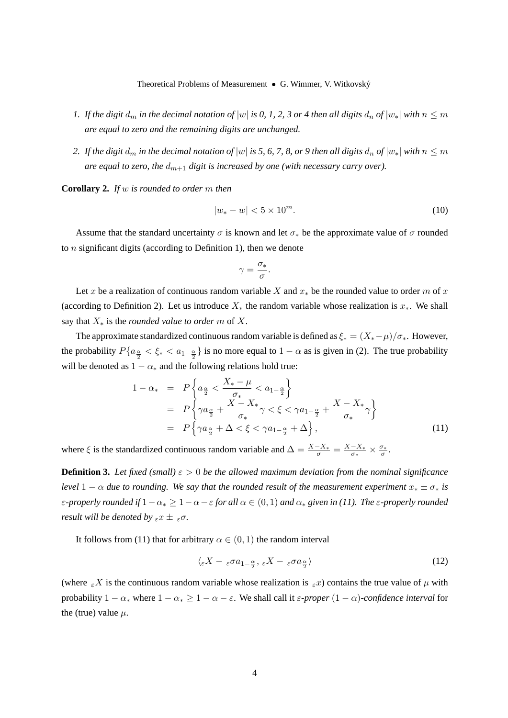- *1. If the digit*  $d_m$  *in the decimal notation of*  $|w|$  *is 0, 1, 2, 3 or 4 then all digits*  $d_n$  *of*  $|w_*|$  *with*  $n \leq m$ *are equal to zero and the remaining digits are unchanged.*
- 2. If the digit  $d_m$  in the decimal notation of  $|w|$  is 5, 6, 7, 8, or 9 then all digits  $d_n$  of  $|w_*|$  with  $n \leq m$ *are equal to zero, the*  $d_{m+1}$  *digit is increased by one (with necessary carry over).*

**Corollary 2.** *If* w *is rounded to order* m *then*

$$
|w_* - w| < 5 \times 10^m. \tag{10}
$$

Assume that the standard uncertainty  $\sigma$  is known and let  $\sigma_*$  be the approximate value of  $\sigma$  rounded to  $n$  significant digits (according to Definition 1), then we denote

$$
\gamma = \frac{\sigma_*}{\sigma}.
$$

Let x be a realization of continuous random variable X and  $x_*$  be the rounded value to order m of x (according to Definition 2). Let us introduce  $X_*$  the random variable whose realization is  $x_*$ . We shall say that X∗ is the *rounded value to order* m of X.

The approximate standardized continuous random variable is defined as  $\xi_* = (X_* - \mu)/\sigma_*$ . However, the probability  $P\{a_{\frac{\alpha}{2}} < \xi_* < a_{1-\frac{\alpha}{2}}\}$  is no more equal to  $1-\alpha$  as is given in (2). The true probability will be denoted as  $1 - \alpha_*$  and the following relations hold true:

$$
1 - \alpha_* = P\left\{a_{\frac{\alpha}{2}} < \frac{X_* - \mu}{\sigma_*} < a_{1-\frac{\alpha}{2}}\right\}
$$
  
=  $P\left\{\gamma a_{\frac{\alpha}{2}} + \frac{X - X_*}{\sigma_*} \gamma < \xi < \gamma a_{1-\frac{\alpha}{2}} + \frac{X - X_*}{\sigma_*} \gamma\right\}$   
=  $P\left\{\gamma a_{\frac{\alpha}{2}} + \Delta < \xi < \gamma a_{1-\frac{\alpha}{2}} + \Delta\right\},$  (11)

where  $\xi$  is the standardized continuous random variable and  $\Delta = \frac{X - X_*}{\sigma} = \frac{X - X_*}{\sigma_*}$  $\frac{-X_*}{\sigma_*} \times \frac{\sigma_*}{\sigma}$  $\frac{\sigma_*}{\sigma}.$ 

**Definition 3.** Let fixed (small)  $\varepsilon > 0$  be the allowed maximum deviation from the nominal significance *level*  $1 - \alpha$  *due to rounding. We say that the rounded result of the measurement experiment*  $x_* \pm \sigma_*$  *is* ε*-properly rounded if* 1−α<sup>∗</sup> ≥ 1−α−ε *for all* α ∈ (0, 1) *and* α<sup>∗</sup> *given in (11). The* ε*-properly rounded result will be denoted by*  $\epsilon x \pm \epsilon \sigma$ .

It follows from (11) that for arbitrary  $\alpha \in (0, 1)$  the random interval

$$
\langle \varepsilon X - \varepsilon \sigma a_{1-\frac{\alpha}{2}}, \varepsilon X - \varepsilon \sigma a_{\frac{\alpha}{2}} \rangle \tag{12}
$$

(where  $\epsilon X$  is the continuous random variable whose realization is  $\epsilon x$ ) contains the true value of  $\mu$  with probability  $1 - \alpha_*$  where  $1 - \alpha_* \geq 1 - \alpha - \varepsilon$ . We shall call it  $\varepsilon$ -proper  $(1 - \alpha)$ -confidence interval for the (true) value  $\mu$ .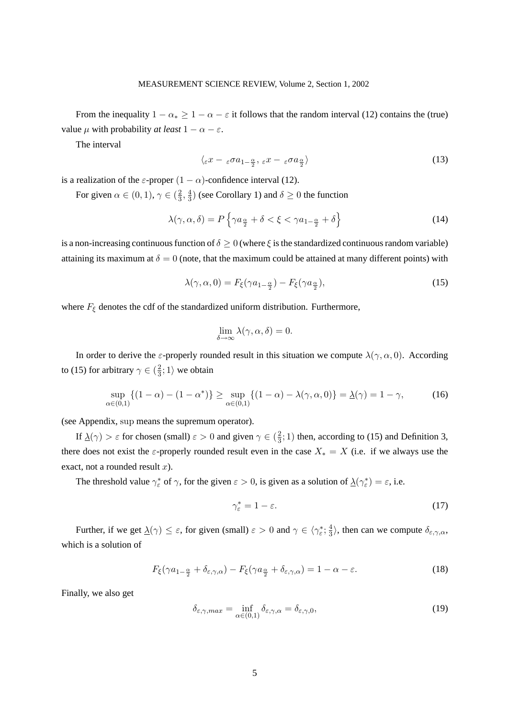From the inequality  $1 - \alpha_* \geq 1 - \alpha - \varepsilon$  it follows that the random interval (12) contains the (true) value  $\mu$  with probability *at least*  $1 - \alpha - \varepsilon$ .

The interval

$$
\langle \varepsilon x - \varepsilon \sigma a_{1-\frac{\alpha}{2}}, \varepsilon x - \varepsilon \sigma a_{\frac{\alpha}{2}} \rangle \tag{13}
$$

is a realization of the  $\varepsilon$ -proper  $(1 - \alpha)$ -confidence interval (12).

For given  $\alpha \in (0,1)$ ,  $\gamma \in (\frac{2}{3})$  $\frac{2}{3}, \frac{4}{3}$  $\frac{4}{3}$ ) (see Corollary 1) and  $\delta \geq 0$  the function

$$
\lambda(\gamma, \alpha, \delta) = P\left\{\gamma a_{\frac{\alpha}{2}} + \delta < \xi < \gamma a_{1-\frac{\alpha}{2}} + \delta\right\} \tag{14}
$$

is a non-increasing continuous function of  $\delta \geq 0$  (where  $\xi$  is the standardized continuous random variable) attaining its maximum at  $\delta = 0$  (note, that the maximum could be attained at many different points) with

$$
\lambda(\gamma, \alpha, 0) = F_{\xi}(\gamma a_{1-\frac{\alpha}{2}}) - F_{\xi}(\gamma a_{\frac{\alpha}{2}}),\tag{15}
$$

where  $F_{\xi}$  denotes the cdf of the standardized uniform distribution. Furthermore,

$$
\lim_{\delta \to \infty} \lambda(\gamma, \alpha, \delta) = 0.
$$

In order to derive the  $\varepsilon$ -properly rounded result in this situation we compute  $\lambda(\gamma, \alpha, 0)$ . According to (15) for arbitrary  $\gamma \in (\frac{2}{3})$  $\frac{2}{3}$ ; 1) we obtain

$$
\sup_{\alpha\in(0,1)}\{(1-\alpha)-(1-\alpha^*)\}\geq \sup_{\alpha\in(0,1)}\{(1-\alpha)-\lambda(\gamma,\alpha,0)\}=\underline{\lambda}(\gamma)=1-\gamma,\tag{16}
$$

(see Appendix, sup means the supremum operator).

If  $\frac{\lambda(\gamma)}{2} > \varepsilon$  for chosen (small)  $\varepsilon > 0$  and given  $\gamma \in (\frac{2}{3})$  $\frac{2}{3}$ ; 1) then, according to (15) and Definition 3, there does not exist the  $\varepsilon$ -properly rounded result even in the case  $X_* = X$  (i.e. if we always use the exact, not a rounded result  $x$ ).

The threshold value  $\gamma_{\varepsilon}^*$  of  $\gamma$ , for the given  $\varepsilon > 0$ , is given as a solution of  $\Delta(\gamma_{\varepsilon}^*)$  $(\xi^*) = \varepsilon$ , i.e.

$$
\gamma_{\varepsilon}^* = 1 - \varepsilon. \tag{17}
$$

Further, if we get  $\underline{\lambda}(\gamma) \leq \varepsilon$ , for given (small)  $\varepsilon > 0$  and  $\gamma \in \langle \gamma \rangle^*$  $\frac{\ast}{\varepsilon}$ ;  $\frac{4}{3}$  $\frac{4}{3}$ , then can we compute  $\delta_{\varepsilon,\gamma,\alpha}$ , which is a solution of

$$
F_{\xi}(\gamma a_{1-\frac{\alpha}{2}} + \delta_{\varepsilon,\gamma,\alpha}) - F_{\xi}(\gamma a_{\frac{\alpha}{2}} + \delta_{\varepsilon,\gamma,\alpha}) = 1 - \alpha - \varepsilon.
$$
 (18)

Finally, we also get

$$
\delta_{\varepsilon,\gamma,max} = \inf_{\alpha \in (0,1)} \delta_{\varepsilon,\gamma,\alpha} = \delta_{\varepsilon,\gamma,0},\tag{19}
$$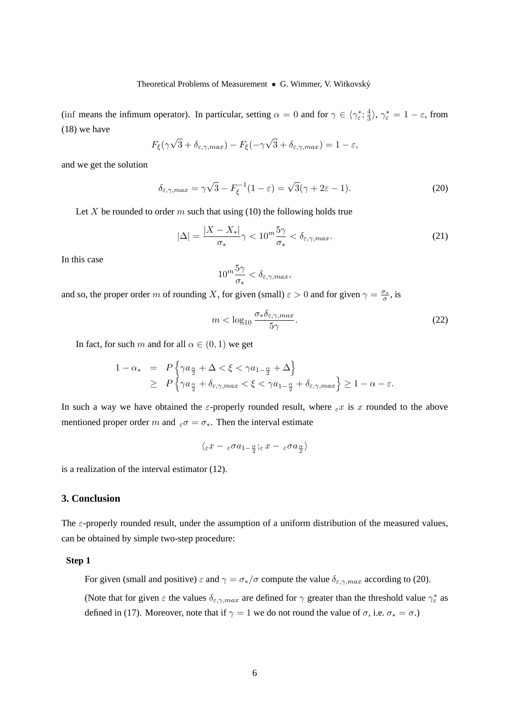Theoretical Problems of Measurement • G. Wimmer, V. Witkovský

(inf means the infimum operator). In particular, setting  $\alpha = 0$  and for  $\gamma \in \langle \gamma_{\varepsilon}^* \rangle$  $\frac{\ast}{\varepsilon}$ ;  $\frac{4}{3}$  $\frac{4}{3}$ ,  $\gamma_{\varepsilon}^{*} = 1 - \varepsilon$ , from (18) we have

$$
F_{\xi}(\gamma\sqrt{3}+\delta_{\varepsilon,\gamma,max})-F_{\xi}(-\gamma\sqrt{3}+\delta_{\varepsilon,\gamma,max})=1-\varepsilon,
$$

and we get the solution

$$
\delta_{\varepsilon,\gamma,max} = \gamma\sqrt{3} - F_{\xi}^{-1}(1-\varepsilon) = \sqrt{3}(\gamma + 2\varepsilon - 1). \tag{20}
$$

Let X be rounded to order m such that using (10) the following holds true

$$
|\Delta| = \frac{|X - X_*|}{\sigma_*} \gamma < 10^m \frac{5\gamma}{\sigma_*} < \delta_{\varepsilon, \gamma, \max}. \tag{21}
$$

In this case

$$
10^m\frac{5\gamma}{\sigma_*} < \delta_{\varepsilon,\gamma,max},
$$

and so, the proper order m of rounding X, for given (small)  $\varepsilon > 0$  and for given  $\gamma = \frac{\sigma_*}{\sigma}$  $\frac{\sigma_*}{\sigma}$ , is

$$
m < \log_{10} \frac{\sigma_* \delta_{\varepsilon,\gamma,max}}{5\gamma}.\tag{22}
$$

In fact, for such m and for all  $\alpha \in (0,1)$  we get

$$
1 - \alpha_{*} = P\left\{\gamma a_{\frac{\alpha}{2}} + \Delta < \xi < \gamma a_{1-\frac{\alpha}{2}} + \Delta\right\}
$$
  
\n
$$
\geq P\left\{\gamma a_{\frac{\alpha}{2}} + \delta_{\varepsilon,\gamma,max} < \xi < \gamma a_{1-\frac{\alpha}{2}} + \delta_{\varepsilon,\gamma,max}\right\} \geq 1 - \alpha - \varepsilon.
$$

In such a way we have obtained the  $\varepsilon$ -properly rounded result, where  $\varepsilon x$  is x rounded to the above mentioned proper order m and  $\varepsilon \sigma = \sigma_*$ . Then the interval estimate

$$
\langle_\varepsilon x-\varepsilon\sigma a_{1-\frac{\alpha}{2}};\varepsilon\,x-\varepsilon\sigma a_{\frac{\alpha}{2}}\rangle
$$

is a realization of the interval estimator (12).

### **3. Conclusion**

The  $\varepsilon$ -properly rounded result, under the assumption of a uniform distribution of the measured values, can be obtained by simple two-step procedure:

#### **Step 1**

For given (small and positive)  $\varepsilon$  and  $\gamma = \sigma_*/\sigma$  compute the value  $\delta_{\varepsilon,\gamma,max}$  according to (20).

(Note that for given  $\varepsilon$  the values  $\delta_{\varepsilon,\gamma,max}$  are defined for  $\gamma$  greater than the threshold value  $\gamma_{\varepsilon}^*$  $\int_{\varepsilon}^*$  as defined in (17). Moreover, note that if  $\gamma = 1$  we do not round the value of  $\sigma$ , i.e.  $\sigma_* = \sigma$ .)